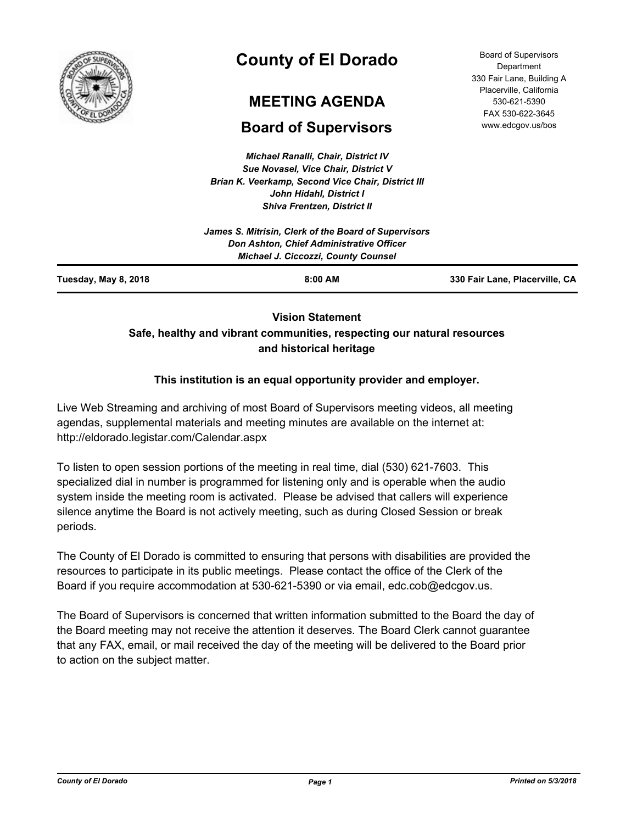

# **County of El Dorado**

# **MEETING AGENDA**

# **Board of Supervisors**

*Michael Ranalli, Chair, District IV Sue Novasel, Vice Chair, District V Brian K. Veerkamp, Second Vice Chair, District III John Hidahl, District I Shiva Frentzen, District II*

Board of Supervisors **Department** 330 Fair Lane, Building A Placerville, California 530-621-5390 FAX 530-622-3645 www.edcgov.us/bos

| 330 Fair Lane, Placerville, CA                       |
|------------------------------------------------------|
| Don Ashton, Chief Administrative Officer             |
| James S. Mitrisin, Clerk of the Board of Supervisors |
|                                                      |

# **Vision Statement Safe, healthy and vibrant communities, respecting our natural resources and historical heritage**

# **This institution is an equal opportunity provider and employer.**

Live Web Streaming and archiving of most Board of Supervisors meeting videos, all meeting agendas, supplemental materials and meeting minutes are available on the internet at: http://eldorado.legistar.com/Calendar.aspx

To listen to open session portions of the meeting in real time, dial (530) 621-7603. This specialized dial in number is programmed for listening only and is operable when the audio system inside the meeting room is activated. Please be advised that callers will experience silence anytime the Board is not actively meeting, such as during Closed Session or break periods.

The County of El Dorado is committed to ensuring that persons with disabilities are provided the resources to participate in its public meetings. Please contact the office of the Clerk of the Board if you require accommodation at 530-621-5390 or via email, edc.cob@edcgov.us.

The Board of Supervisors is concerned that written information submitted to the Board the day of the Board meeting may not receive the attention it deserves. The Board Clerk cannot guarantee that any FAX, email, or mail received the day of the meeting will be delivered to the Board prior to action on the subject matter.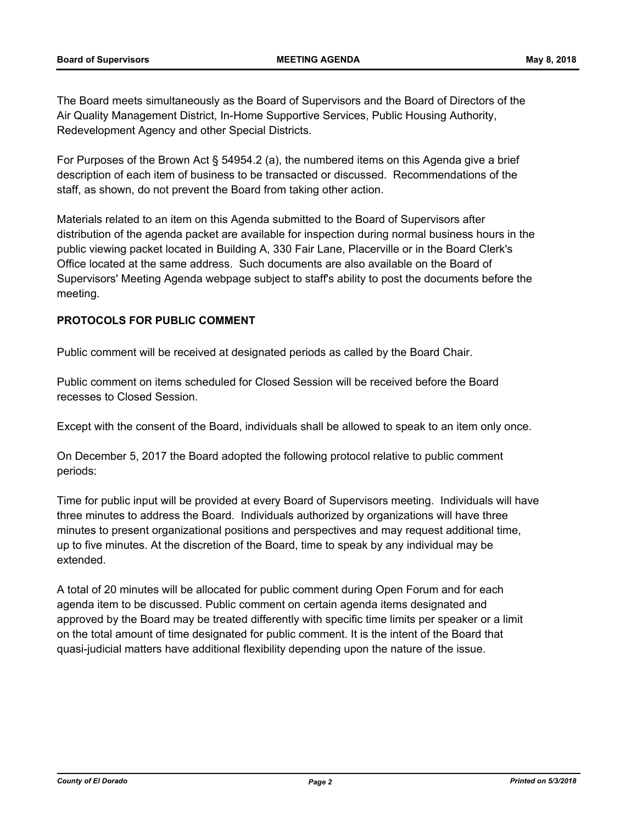The Board meets simultaneously as the Board of Supervisors and the Board of Directors of the Air Quality Management District, In-Home Supportive Services, Public Housing Authority, Redevelopment Agency and other Special Districts.

For Purposes of the Brown Act § 54954.2 (a), the numbered items on this Agenda give a brief description of each item of business to be transacted or discussed. Recommendations of the staff, as shown, do not prevent the Board from taking other action.

Materials related to an item on this Agenda submitted to the Board of Supervisors after distribution of the agenda packet are available for inspection during normal business hours in the public viewing packet located in Building A, 330 Fair Lane, Placerville or in the Board Clerk's Office located at the same address. Such documents are also available on the Board of Supervisors' Meeting Agenda webpage subject to staff's ability to post the documents before the meeting.

## **PROTOCOLS FOR PUBLIC COMMENT**

Public comment will be received at designated periods as called by the Board Chair.

Public comment on items scheduled for Closed Session will be received before the Board recesses to Closed Session.

Except with the consent of the Board, individuals shall be allowed to speak to an item only once.

On December 5, 2017 the Board adopted the following protocol relative to public comment periods:

Time for public input will be provided at every Board of Supervisors meeting. Individuals will have three minutes to address the Board. Individuals authorized by organizations will have three minutes to present organizational positions and perspectives and may request additional time, up to five minutes. At the discretion of the Board, time to speak by any individual may be extended.

A total of 20 minutes will be allocated for public comment during Open Forum and for each agenda item to be discussed. Public comment on certain agenda items designated and approved by the Board may be treated differently with specific time limits per speaker or a limit on the total amount of time designated for public comment. It is the intent of the Board that quasi-judicial matters have additional flexibility depending upon the nature of the issue.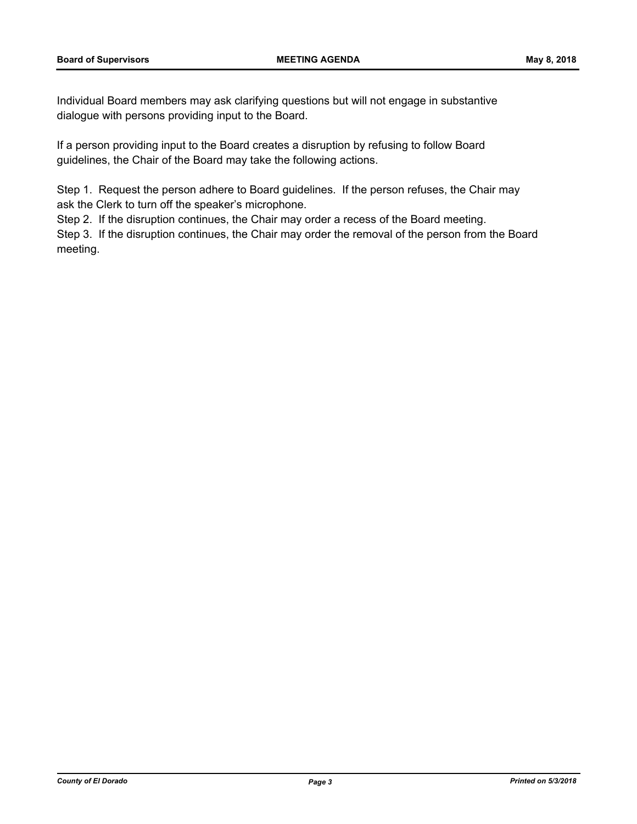Individual Board members may ask clarifying questions but will not engage in substantive dialogue with persons providing input to the Board.

If a person providing input to the Board creates a disruption by refusing to follow Board guidelines, the Chair of the Board may take the following actions.

Step 1. Request the person adhere to Board guidelines. If the person refuses, the Chair may ask the Clerk to turn off the speaker's microphone.

Step 2. If the disruption continues, the Chair may order a recess of the Board meeting.

Step 3. If the disruption continues, the Chair may order the removal of the person from the Board meeting.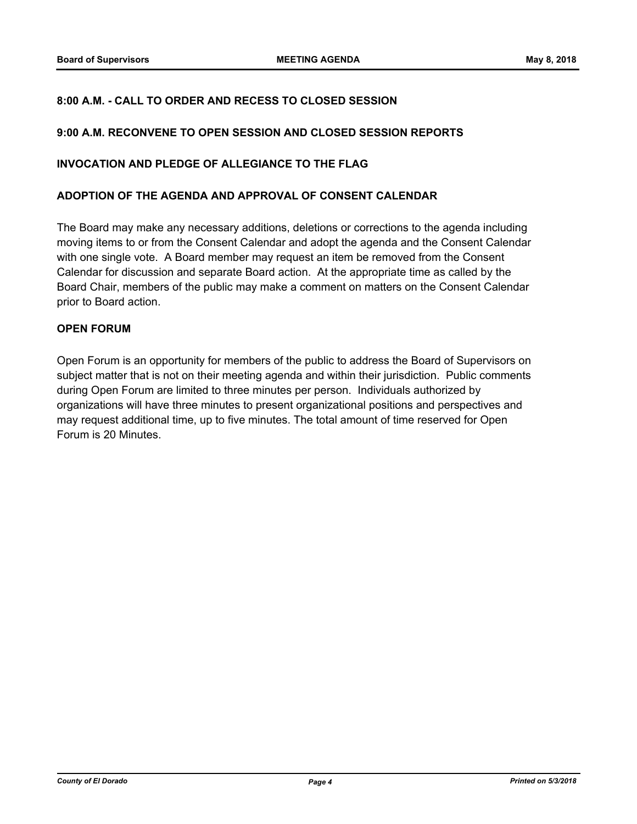## **8:00 A.M. - CALL TO ORDER AND RECESS TO CLOSED SESSION**

#### **9:00 A.M. RECONVENE TO OPEN SESSION AND CLOSED SESSION REPORTS**

#### **INVOCATION AND PLEDGE OF ALLEGIANCE TO THE FLAG**

#### **ADOPTION OF THE AGENDA AND APPROVAL OF CONSENT CALENDAR**

The Board may make any necessary additions, deletions or corrections to the agenda including moving items to or from the Consent Calendar and adopt the agenda and the Consent Calendar with one single vote. A Board member may request an item be removed from the Consent Calendar for discussion and separate Board action. At the appropriate time as called by the Board Chair, members of the public may make a comment on matters on the Consent Calendar prior to Board action.

#### **OPEN FORUM**

Open Forum is an opportunity for members of the public to address the Board of Supervisors on subject matter that is not on their meeting agenda and within their jurisdiction. Public comments during Open Forum are limited to three minutes per person. Individuals authorized by organizations will have three minutes to present organizational positions and perspectives and may request additional time, up to five minutes. The total amount of time reserved for Open Forum is 20 Minutes.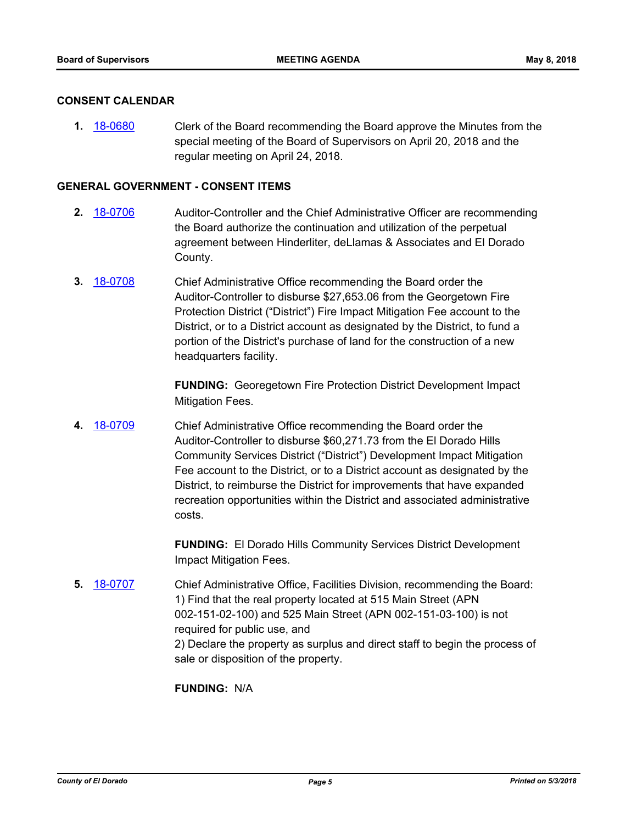#### **CONSENT CALENDAR**

**1.** [18-0680](http://eldorado.legistar.com/gateway.aspx?m=l&id=/matter.aspx?key=24025) Clerk of the Board recommending the Board approve the Minutes from the special meeting of the Board of Supervisors on April 20, 2018 and the regular meeting on April 24, 2018.

#### **GENERAL GOVERNMENT - CONSENT ITEMS**

- **2.** [18-0706](http://eldorado.legistar.com/gateway.aspx?m=l&id=/matter.aspx?key=24050) Auditor-Controller and the Chief Administrative Officer are recommending the Board authorize the continuation and utilization of the perpetual agreement between Hinderliter, deLlamas & Associates and El Dorado County.
- **3.** [18-0708](http://eldorado.legistar.com/gateway.aspx?m=l&id=/matter.aspx?key=24052) Chief Administrative Office recommending the Board order the Auditor-Controller to disburse \$27,653.06 from the Georgetown Fire Protection District ("District") Fire Impact Mitigation Fee account to the District, or to a District account as designated by the District, to fund a portion of the District's purchase of land for the construction of a new headquarters facility.

**FUNDING:** Georegetown Fire Protection District Development Impact Mitigation Fees.

**4.** [18-0709](http://eldorado.legistar.com/gateway.aspx?m=l&id=/matter.aspx?key=24053) Chief Administrative Office recommending the Board order the Auditor-Controller to disburse \$60,271.73 from the El Dorado Hills Community Services District ("District") Development Impact Mitigation Fee account to the District, or to a District account as designated by the District, to reimburse the District for improvements that have expanded recreation opportunities within the District and associated administrative costs.

> **FUNDING:** El Dorado Hills Community Services District Development Impact Mitigation Fees.

**5.** [18-0707](http://eldorado.legistar.com/gateway.aspx?m=l&id=/matter.aspx?key=24051) Chief Administrative Office, Facilities Division, recommending the Board: 1) Find that the real property located at 515 Main Street (APN 002-151-02-100) and 525 Main Street (APN 002-151-03-100) is not required for public use, and 2) Declare the property as surplus and direct staff to begin the process of sale or disposition of the property.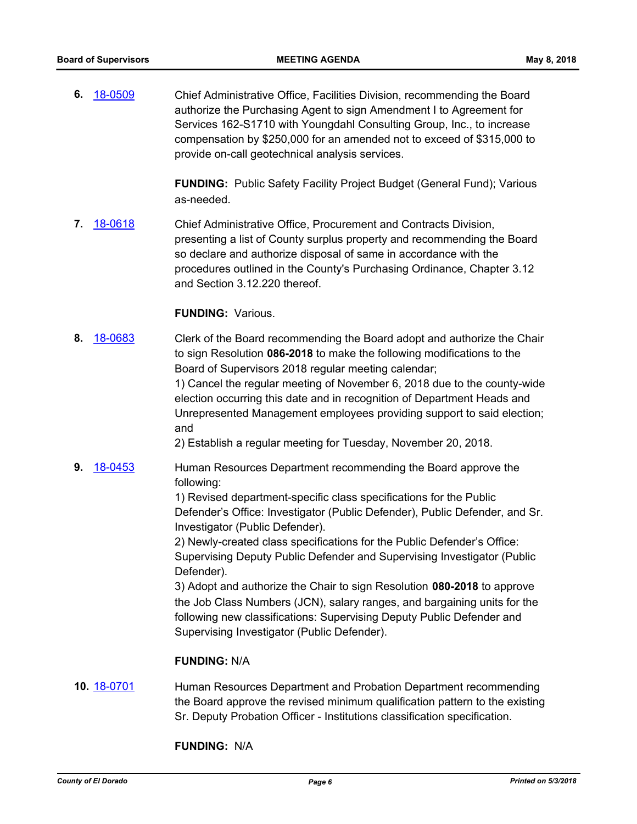**6.** [18-0509](http://eldorado.legistar.com/gateway.aspx?m=l&id=/matter.aspx?key=23854) Chief Administrative Office, Facilities Division, recommending the Board authorize the Purchasing Agent to sign Amendment I to Agreement for Services 162-S1710 with Youngdahl Consulting Group, Inc., to increase compensation by \$250,000 for an amended not to exceed of \$315,000 to provide on-call geotechnical analysis services.

> **FUNDING:** Public Safety Facility Project Budget (General Fund); Various as-needed.

**7.** [18-0618](http://eldorado.legistar.com/gateway.aspx?m=l&id=/matter.aspx?key=23963) Chief Administrative Office, Procurement and Contracts Division, presenting a list of County surplus property and recommending the Board so declare and authorize disposal of same in accordance with the procedures outlined in the County's Purchasing Ordinance, Chapter 3.12 and Section 3.12.220 thereof.

# **FUNDING:** Various.

- **8.** [18-0683](http://eldorado.legistar.com/gateway.aspx?m=l&id=/matter.aspx?key=24028) Clerk of the Board recommending the Board adopt and authorize the Chair to sign Resolution **086-2018** to make the following modifications to the Board of Supervisors 2018 regular meeting calendar; 1) Cancel the regular meeting of November 6, 2018 due to the county-wide election occurring this date and in recognition of Department Heads and Unrepresented Management employees providing support to said election; and 2) Establish a regular meeting for Tuesday, November 20, 2018.
- **9.** [18-0453](http://eldorado.legistar.com/gateway.aspx?m=l&id=/matter.aspx?key=23798) Human Resources Department recommending the Board approve the following:

1) Revised department-specific class specifications for the Public Defender's Office: Investigator (Public Defender), Public Defender, and Sr. Investigator (Public Defender).

2) Newly-created class specifications for the Public Defender's Office: Supervising Deputy Public Defender and Supervising Investigator (Public Defender).

3) Adopt and authorize the Chair to sign Resolution **080-2018** to approve the Job Class Numbers (JCN), salary ranges, and bargaining units for the following new classifications: Supervising Deputy Public Defender and Supervising Investigator (Public Defender).

#### **FUNDING:** N/A

**10.** [18-0701](http://eldorado.legistar.com/gateway.aspx?m=l&id=/matter.aspx?key=24045) Human Resources Department and Probation Department recommending the Board approve the revised minimum qualification pattern to the existing Sr. Deputy Probation Officer - Institutions classification specification.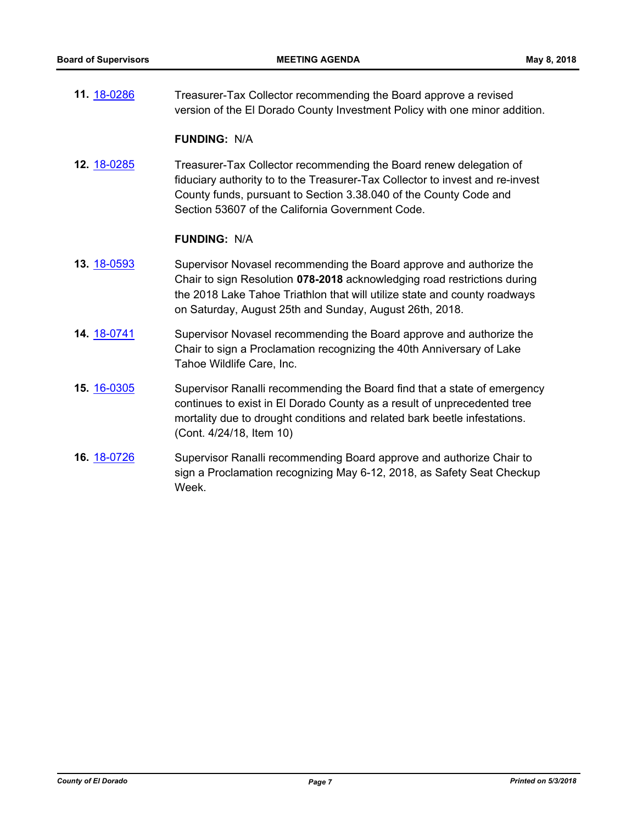**11.** [18-0286](http://eldorado.legistar.com/gateway.aspx?m=l&id=/matter.aspx?key=23629) Treasurer-Tax Collector recommending the Board approve a revised version of the El Dorado County Investment Policy with one minor addition.

#### **FUNDING:** N/A

**12.** [18-0285](http://eldorado.legistar.com/gateway.aspx?m=l&id=/matter.aspx?key=23628) Treasurer-Tax Collector recommending the Board renew delegation of fiduciary authority to to the Treasurer-Tax Collector to invest and re-invest County funds, pursuant to Section 3.38.040 of the County Code and Section 53607 of the California Government Code.

- **13.** [18-0593](http://eldorado.legistar.com/gateway.aspx?m=l&id=/matter.aspx?key=23938) Supervisor Novasel recommending the Board approve and authorize the Chair to sign Resolution **078-2018** acknowledging road restrictions during the 2018 Lake Tahoe Triathlon that will utilize state and county roadways on Saturday, August 25th and Sunday, August 26th, 2018.
- **14.** [18-0741](http://eldorado.legistar.com/gateway.aspx?m=l&id=/matter.aspx?key=24088) Supervisor Novasel recommending the Board approve and authorize the Chair to sign a Proclamation recognizing the 40th Anniversary of Lake Tahoe Wildlife Care, Inc.
- **15.** [16-0305](http://eldorado.legistar.com/gateway.aspx?m=l&id=/matter.aspx?key=20961) Supervisor Ranalli recommending the Board find that a state of emergency continues to exist in El Dorado County as a result of unprecedented tree mortality due to drought conditions and related bark beetle infestations. (Cont. 4/24/18, Item 10)
- **16.** [18-0726](http://eldorado.legistar.com/gateway.aspx?m=l&id=/matter.aspx?key=24073) Supervisor Ranalli recommending Board approve and authorize Chair to sign a Proclamation recognizing May 6-12, 2018, as Safety Seat Checkup Week.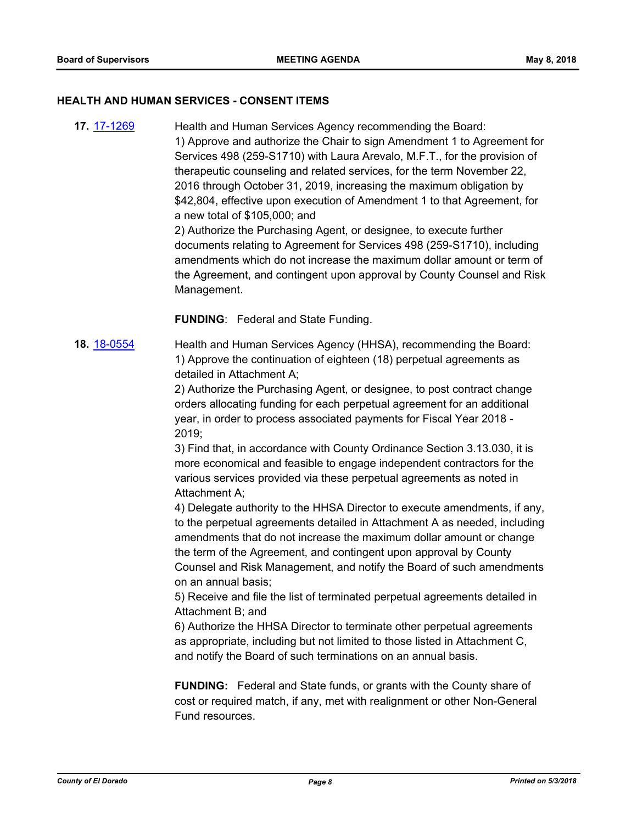#### **HEALTH AND HUMAN SERVICES - CONSENT ITEMS**

**17.** [17-1269](http://eldorado.legistar.com/gateway.aspx?m=l&id=/matter.aspx?key=23213) Health and Human Services Agency recommending the Board: 1) Approve and authorize the Chair to sign Amendment 1 to Agreement for Services 498 (259-S1710) with Laura Arevalo, M.F.T., for the provision of therapeutic counseling and related services, for the term November 22, 2016 through October 31, 2019, increasing the maximum obligation by \$42,804, effective upon execution of Amendment 1 to that Agreement, for a new total of \$105,000; and

2) Authorize the Purchasing Agent, or designee, to execute further documents relating to Agreement for Services 498 (259-S1710), including amendments which do not increase the maximum dollar amount or term of the Agreement, and contingent upon approval by County Counsel and Risk Management.

**FUNDING**: Federal and State Funding.

**18.** [18-0554](http://eldorado.legistar.com/gateway.aspx?m=l&id=/matter.aspx?key=23899) Health and Human Services Agency (HHSA), recommending the Board: 1) Approve the continuation of eighteen (18) perpetual agreements as detailed in Attachment A;

> 2) Authorize the Purchasing Agent, or designee, to post contract change orders allocating funding for each perpetual agreement for an additional year, in order to process associated payments for Fiscal Year 2018 - 2019;

> 3) Find that, in accordance with County Ordinance Section 3.13.030, it is more economical and feasible to engage independent contractors for the various services provided via these perpetual agreements as noted in Attachment A;

4) Delegate authority to the HHSA Director to execute amendments, if any, to the perpetual agreements detailed in Attachment A as needed, including amendments that do not increase the maximum dollar amount or change the term of the Agreement, and contingent upon approval by County Counsel and Risk Management, and notify the Board of such amendments on an annual basis;

5) Receive and file the list of terminated perpetual agreements detailed in Attachment B; and

6) Authorize the HHSA Director to terminate other perpetual agreements as appropriate, including but not limited to those listed in Attachment C, and notify the Board of such terminations on an annual basis.

**FUNDING:** Federal and State funds, or grants with the County share of cost or required match, if any, met with realignment or other Non-General Fund resources.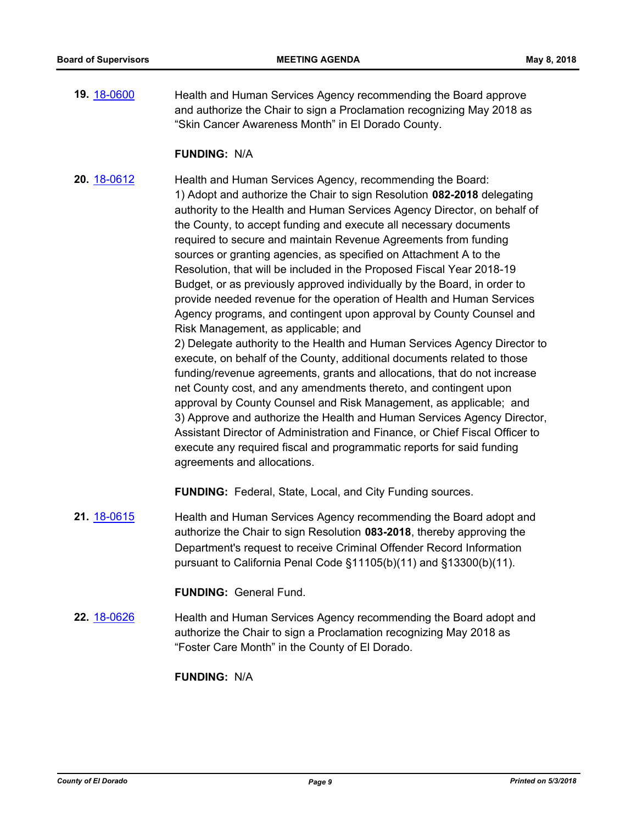**19.** [18-0600](http://eldorado.legistar.com/gateway.aspx?m=l&id=/matter.aspx?key=23945) Health and Human Services Agency recommending the Board approve and authorize the Chair to sign a Proclamation recognizing May 2018 as "Skin Cancer Awareness Month" in El Dorado County.

#### **FUNDING:** N/A

**20.** [18-0612](http://eldorado.legistar.com/gateway.aspx?m=l&id=/matter.aspx?key=23957) Health and Human Services Agency, recommending the Board: 1) Adopt and authorize the Chair to sign Resolution **082-2018** delegating authority to the Health and Human Services Agency Director, on behalf of the County, to accept funding and execute all necessary documents required to secure and maintain Revenue Agreements from funding sources or granting agencies, as specified on Attachment A to the Resolution, that will be included in the Proposed Fiscal Year 2018-19 Budget, or as previously approved individually by the Board, in order to provide needed revenue for the operation of Health and Human Services Agency programs, and contingent upon approval by County Counsel and Risk Management, as applicable; and

2) Delegate authority to the Health and Human Services Agency Director to execute, on behalf of the County, additional documents related to those funding/revenue agreements, grants and allocations, that do not increase net County cost, and any amendments thereto, and contingent upon approval by County Counsel and Risk Management, as applicable; and 3) Approve and authorize the Health and Human Services Agency Director, Assistant Director of Administration and Finance, or Chief Fiscal Officer to execute any required fiscal and programmatic reports for said funding agreements and allocations.

**FUNDING:** Federal, State, Local, and City Funding sources.

**21.** [18-0615](http://eldorado.legistar.com/gateway.aspx?m=l&id=/matter.aspx?key=23960) Health and Human Services Agency recommending the Board adopt and authorize the Chair to sign Resolution **083-2018**, thereby approving the Department's request to receive Criminal Offender Record Information pursuant to California Penal Code §11105(b)(11) and §13300(b)(11).

#### **FUNDING:** General Fund.

**22.** [18-0626](http://eldorado.legistar.com/gateway.aspx?m=l&id=/matter.aspx?key=23971) Health and Human Services Agency recommending the Board adopt and authorize the Chair to sign a Proclamation recognizing May 2018 as "Foster Care Month" in the County of El Dorado.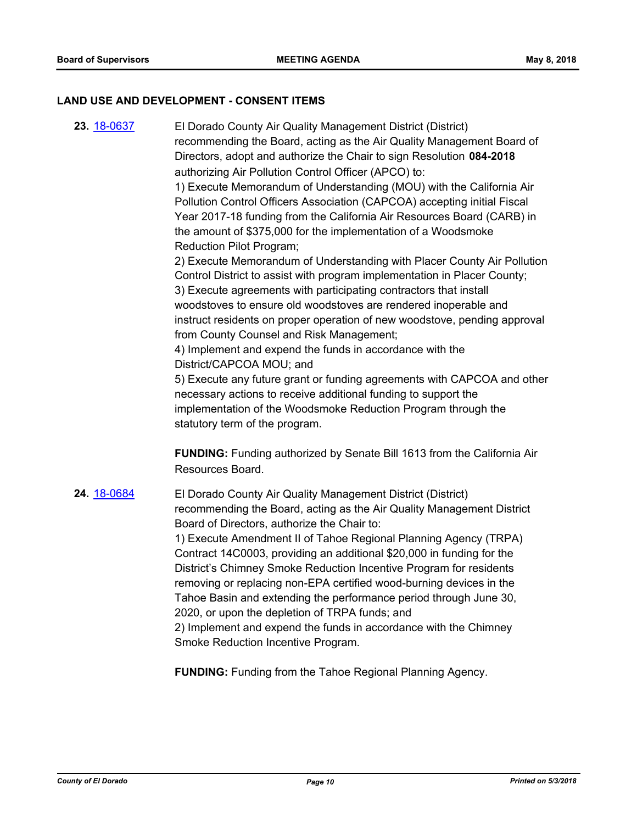#### **LAND USE AND DEVELOPMENT - CONSENT ITEMS**

**23.** [18-0637](http://eldorado.legistar.com/gateway.aspx?m=l&id=/matter.aspx?key=23982) El Dorado County Air Quality Management District (District) recommending the Board, acting as the Air Quality Management Board of Directors, adopt and authorize the Chair to sign Resolution **084-2018**  authorizing Air Pollution Control Officer (APCO) to: 1) Execute Memorandum of Understanding (MOU) with the California Air Pollution Control Officers Association (CAPCOA) accepting initial Fiscal Year 2017-18 funding from the California Air Resources Board (CARB) in the amount of \$375,000 for the implementation of a Woodsmoke Reduction Pilot Program; 2) Execute Memorandum of Understanding with Placer County Air Pollution Control District to assist with program implementation in Placer County; 3) Execute agreements with participating contractors that install woodstoves to ensure old woodstoves are rendered inoperable and instruct residents on proper operation of new woodstove, pending approval from County Counsel and Risk Management; 4) Implement and expend the funds in accordance with the District/CAPCOA MOU; and 5) Execute any future grant or funding agreements with CAPCOA and other

necessary actions to receive additional funding to support the implementation of the Woodsmoke Reduction Program through the statutory term of the program.

**FUNDING:** Funding authorized by Senate Bill 1613 from the California Air Resources Board.

**24.** [18-0684](http://eldorado.legistar.com/gateway.aspx?m=l&id=/matter.aspx?key=24029) El Dorado County Air Quality Management District (District) recommending the Board, acting as the Air Quality Management District Board of Directors, authorize the Chair to: 1) Execute Amendment II of Tahoe Regional Planning Agency (TRPA) Contract 14C0003, providing an additional \$20,000 in funding for the District's Chimney Smoke Reduction Incentive Program for residents removing or replacing non-EPA certified wood-burning devices in the Tahoe Basin and extending the performance period through June 30, 2020, or upon the depletion of TRPA funds; and 2) Implement and expend the funds in accordance with the Chimney Smoke Reduction Incentive Program.

**FUNDING:** Funding from the Tahoe Regional Planning Agency.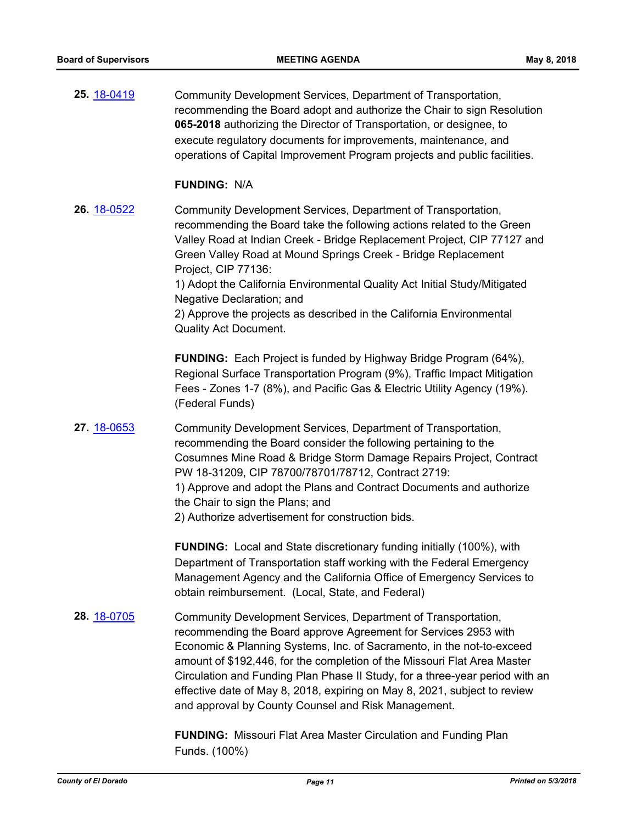| 25. 18-0419        | Community Development Services, Department of Transportation,<br>recommending the Board adopt and authorize the Chair to sign Resolution<br>065-2018 authorizing the Director of Transportation, or designee, to<br>execute regulatory documents for improvements, maintenance, and<br>operations of Capital Improvement Program projects and public facilities.                                                                                                                                                             |
|--------------------|------------------------------------------------------------------------------------------------------------------------------------------------------------------------------------------------------------------------------------------------------------------------------------------------------------------------------------------------------------------------------------------------------------------------------------------------------------------------------------------------------------------------------|
|                    | <b>FUNDING: N/A</b>                                                                                                                                                                                                                                                                                                                                                                                                                                                                                                          |
| <b>26.</b> 18-0522 | Community Development Services, Department of Transportation,<br>recommending the Board take the following actions related to the Green<br>Valley Road at Indian Creek - Bridge Replacement Project, CIP 77127 and<br>Green Valley Road at Mound Springs Creek - Bridge Replacement<br>Project, CIP 77136:<br>1) Adopt the California Environmental Quality Act Initial Study/Mitigated<br>Negative Declaration; and<br>2) Approve the projects as described in the California Environmental<br><b>Quality Act Document.</b> |
|                    | <b>FUNDING:</b> Each Project is funded by Highway Bridge Program (64%),<br>Regional Surface Transportation Program (9%), Traffic Impact Mitigation<br>Fees - Zones 1-7 (8%), and Pacific Gas & Electric Utility Agency (19%).<br>(Federal Funds)                                                                                                                                                                                                                                                                             |
| 27. 18-0653        | Community Development Services, Department of Transportation,<br>recommending the Board consider the following pertaining to the<br>Cosumnes Mine Road & Bridge Storm Damage Repairs Project, Contract<br>PW 18-31209, CIP 78700/78701/78712, Contract 2719:<br>1) Approve and adopt the Plans and Contract Documents and authorize<br>the Chair to sign the Plans; and<br>2) Authorize advertisement for construction bids.                                                                                                 |
|                    | FUNDING: Local and State discretionary funding initially (100%), with<br>Department of Transportation staff working with the Federal Emergency<br>Management Agency and the California Office of Emergency Services to<br>obtain reimbursement. (Local, State, and Federal)                                                                                                                                                                                                                                                  |
| 28. 18-0705        | Community Development Services, Department of Transportation,<br>recommending the Board approve Agreement for Services 2953 with<br>Economic & Planning Systems, Inc. of Sacramento, in the not-to-exceed<br>amount of \$192,446, for the completion of the Missouri Flat Area Master<br>Circulation and Funding Plan Phase II Study, for a three-year period with an<br>effective date of May 8, 2018, expiring on May 8, 2021, subject to review<br>and approval by County Counsel and Risk Management.                    |
|                    | <b>FUNDING:</b> Missouri Flat Area Master Circulation and Funding Plan<br>Funds. (100%)                                                                                                                                                                                                                                                                                                                                                                                                                                      |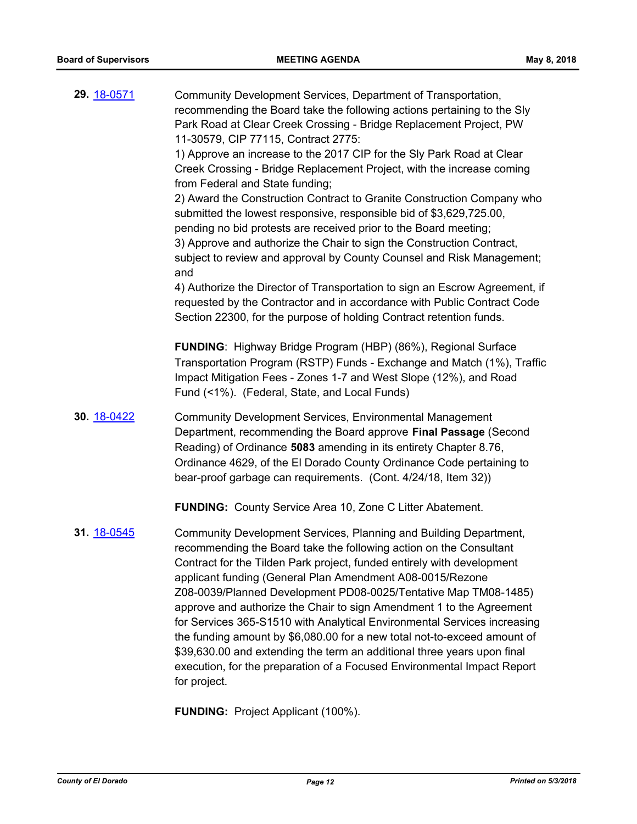| 29. 18-0571 | Community Development Services, Department of Transportation,<br>recommending the Board take the following actions pertaining to the Sly<br>Park Road at Clear Creek Crossing - Bridge Replacement Project, PW<br>11-30579, CIP 77115, Contract 2775:<br>1) Approve an increase to the 2017 CIP for the SIy Park Road at Clear<br>Creek Crossing - Bridge Replacement Project, with the increase coming<br>from Federal and State funding;<br>2) Award the Construction Contract to Granite Construction Company who<br>submitted the lowest responsive, responsible bid of \$3,629,725.00,<br>pending no bid protests are received prior to the Board meeting;<br>3) Approve and authorize the Chair to sign the Construction Contract,<br>subject to review and approval by County Counsel and Risk Management;<br>and<br>4) Authorize the Director of Transportation to sign an Escrow Agreement, if<br>requested by the Contractor and in accordance with Public Contract Code<br>Section 22300, for the purpose of holding Contract retention funds. |
|-------------|-----------------------------------------------------------------------------------------------------------------------------------------------------------------------------------------------------------------------------------------------------------------------------------------------------------------------------------------------------------------------------------------------------------------------------------------------------------------------------------------------------------------------------------------------------------------------------------------------------------------------------------------------------------------------------------------------------------------------------------------------------------------------------------------------------------------------------------------------------------------------------------------------------------------------------------------------------------------------------------------------------------------------------------------------------------|
|             | <b>FUNDING:</b> Highway Bridge Program (HBP) (86%), Regional Surface<br>Transportation Program (RSTP) Funds - Exchange and Match (1%), Traffic<br>Impact Mitigation Fees - Zones 1-7 and West Slope (12%), and Road<br>Fund (<1%). (Federal, State, and Local Funds)                                                                                                                                                                                                                                                                                                                                                                                                                                                                                                                                                                                                                                                                                                                                                                                      |
| 30. 18-0422 | <b>Community Development Services, Environmental Management</b><br>Department, recommending the Board approve Final Passage (Second<br>Reading) of Ordinance 5083 amending in its entirety Chapter 8.76,<br>Ordinance 4629, of the El Dorado County Ordinance Code pertaining to<br>bear-proof garbage can requirements. (Cont. 4/24/18, Item 32))                                                                                                                                                                                                                                                                                                                                                                                                                                                                                                                                                                                                                                                                                                        |
|             | FUNDING: County Service Area 10, Zone C Litter Abatement.                                                                                                                                                                                                                                                                                                                                                                                                                                                                                                                                                                                                                                                                                                                                                                                                                                                                                                                                                                                                 |
| 31. 18-0545 | Community Development Services, Planning and Building Department,<br>recommending the Board take the following action on the Consultant<br>Contract for the Tilden Park project, funded entirely with development<br>applicant funding (General Plan Amendment A08-0015/Rezone<br>Z08-0039/Planned Development PD08-0025/Tentative Map TM08-1485)<br>approve and authorize the Chair to sign Amendment 1 to the Agreement<br>for Services 365-S1510 with Analytical Environmental Services increasing<br>the funding amount by \$6,080.00 for a new total not-to-exceed amount of<br>\$39,630.00 and extending the term an additional three years upon final<br>execution, for the preparation of a Focused Environmental Impact Report<br>for project.                                                                                                                                                                                                                                                                                                   |

**FUNDING:** Project Applicant (100%).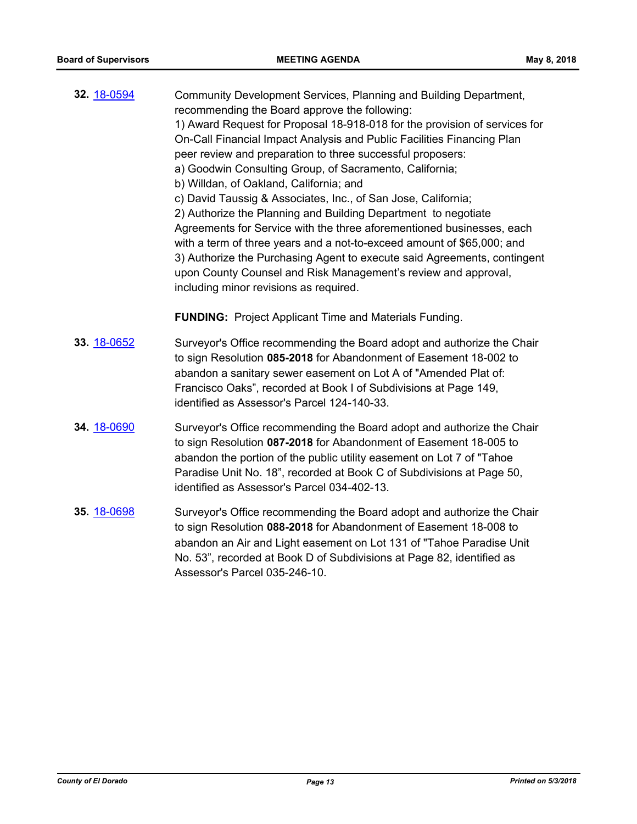| 32. 18-0594 | Community Development Services, Planning and Building Department,<br>recommending the Board approve the following:<br>1) Award Request for Proposal 18-918-018 for the provision of services for<br>On-Call Financial Impact Analysis and Public Facilities Financing Plan<br>peer review and preparation to three successful proposers:<br>a) Goodwin Consulting Group, of Sacramento, California;<br>b) Willdan, of Oakland, California; and<br>c) David Taussig & Associates, Inc., of San Jose, California;<br>2) Authorize the Planning and Building Department to negotiate<br>Agreements for Service with the three aforementioned businesses, each<br>with a term of three years and a not-to-exceed amount of \$65,000; and<br>3) Authorize the Purchasing Agent to execute said Agreements, contingent<br>upon County Counsel and Risk Management's review and approval,<br>including minor revisions as required. |
|-------------|------------------------------------------------------------------------------------------------------------------------------------------------------------------------------------------------------------------------------------------------------------------------------------------------------------------------------------------------------------------------------------------------------------------------------------------------------------------------------------------------------------------------------------------------------------------------------------------------------------------------------------------------------------------------------------------------------------------------------------------------------------------------------------------------------------------------------------------------------------------------------------------------------------------------------|
|             | <b>FUNDING:</b> Project Applicant Time and Materials Funding.                                                                                                                                                                                                                                                                                                                                                                                                                                                                                                                                                                                                                                                                                                                                                                                                                                                                |
| 33. 18-0652 | Surveyor's Office recommending the Board adopt and authorize the Chair<br>to sign Resolution 085-2018 for Abandonment of Easement 18-002 to<br>abandon a sanitary sewer easement on Lot A of "Amended Plat of:<br>Francisco Oaks", recorded at Book I of Subdivisions at Page 149,<br>identified as Assessor's Parcel 124-140-33.                                                                                                                                                                                                                                                                                                                                                                                                                                                                                                                                                                                            |
| 34. 18-0690 | Surveyor's Office recommending the Board adopt and authorize the Chair<br>to sign Resolution 087-2018 for Abandonment of Easement 18-005 to<br>abandon the portion of the public utility easement on Lot 7 of "Tahoe<br>Paradise Unit No. 18", recorded at Book C of Subdivisions at Page 50,<br>identified as Assessor's Parcel 034-402-13.                                                                                                                                                                                                                                                                                                                                                                                                                                                                                                                                                                                 |
| 35. 18-0698 | Surveyor's Office recommending the Board adopt and authorize the Chair<br>to sign Resolution 088-2018 for Abandonment of Easement 18-008 to<br>abandon an Air and Light easement on Lot 131 of "Tahoe Paradise Unit<br>No. 53", recorded at Book D of Subdivisions at Page 82, identified as<br>Assessor's Parcel 035-246-10.                                                                                                                                                                                                                                                                                                                                                                                                                                                                                                                                                                                                |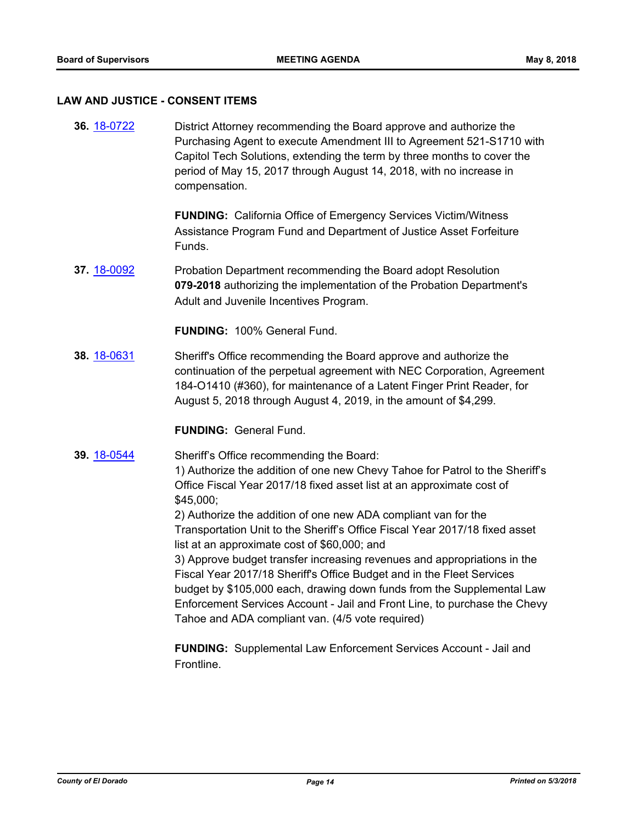#### **LAW AND JUSTICE - CONSENT ITEMS**

**36.** [18-0722](http://eldorado.legistar.com/gateway.aspx?m=l&id=/matter.aspx?key=24068) District Attorney recommending the Board approve and authorize the Purchasing Agent to execute Amendment III to Agreement 521-S1710 with Capitol Tech Solutions, extending the term by three months to cover the period of May 15, 2017 through August 14, 2018, with no increase in compensation.

> **FUNDING:** California Office of Emergency Services Victim/Witness Assistance Program Fund and Department of Justice Asset Forfeiture Funds.

**37.** [18-0092](http://eldorado.legistar.com/gateway.aspx?m=l&id=/matter.aspx?key=23433) Probation Department recommending the Board adopt Resolution **079-2018** authorizing the implementation of the Probation Department's Adult and Juvenile Incentives Program.

**FUNDING:** 100% General Fund.

**38.** [18-0631](http://eldorado.legistar.com/gateway.aspx?m=l&id=/matter.aspx?key=23976) Sheriff's Office recommending the Board approve and authorize the continuation of the perpetual agreement with NEC Corporation, Agreement 184-O1410 (#360), for maintenance of a Latent Finger Print Reader, for August 5, 2018 through August 4, 2019, in the amount of \$4,299.

**FUNDING:** General Fund.

**39.** [18-0544](http://eldorado.legistar.com/gateway.aspx?m=l&id=/matter.aspx?key=23889) Sheriff's Office recommending the Board:

1) Authorize the addition of one new Chevy Tahoe for Patrol to the Sheriff's Office Fiscal Year 2017/18 fixed asset list at an approximate cost of \$45,000;

2) Authorize the addition of one new ADA compliant van for the Transportation Unit to the Sheriff's Office Fiscal Year 2017/18 fixed asset list at an approximate cost of \$60,000; and

3) Approve budget transfer increasing revenues and appropriations in the Fiscal Year 2017/18 Sheriff's Office Budget and in the Fleet Services budget by \$105,000 each, drawing down funds from the Supplemental Law Enforcement Services Account - Jail and Front Line, to purchase the Chevy Tahoe and ADA compliant van. (4/5 vote required)

**FUNDING:** Supplemental Law Enforcement Services Account - Jail and Frontline.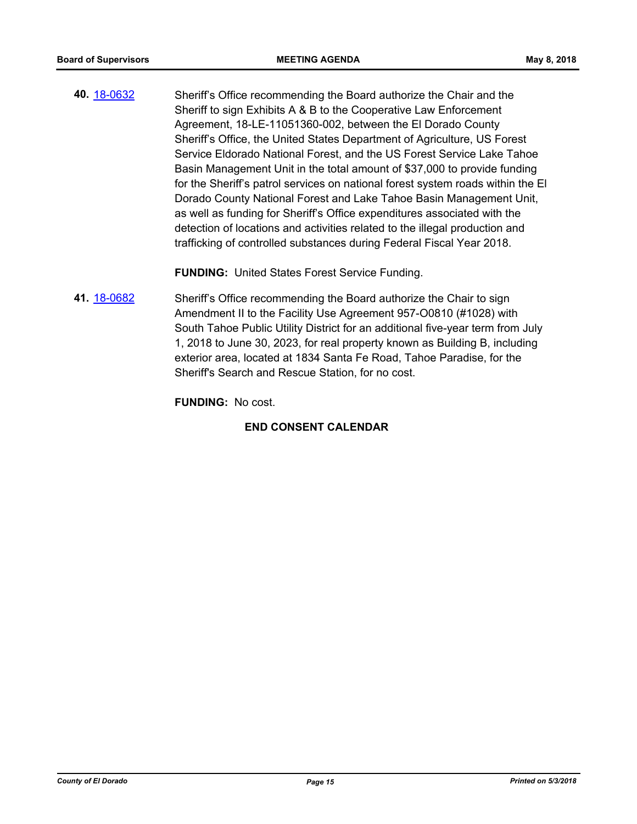**40.** [18-0632](http://eldorado.legistar.com/gateway.aspx?m=l&id=/matter.aspx?key=23977) Sheriff's Office recommending the Board authorize the Chair and the Sheriff to sign Exhibits A & B to the Cooperative Law Enforcement Agreement, 18-LE-11051360-002, between the El Dorado County Sheriff's Office, the United States Department of Agriculture, US Forest Service Eldorado National Forest, and the US Forest Service Lake Tahoe Basin Management Unit in the total amount of \$37,000 to provide funding for the Sheriff's patrol services on national forest system roads within the El Dorado County National Forest and Lake Tahoe Basin Management Unit, as well as funding for Sheriff's Office expenditures associated with the detection of locations and activities related to the illegal production and trafficking of controlled substances during Federal Fiscal Year 2018.

**FUNDING:** United States Forest Service Funding.

**41.** [18-0682](http://eldorado.legistar.com/gateway.aspx?m=l&id=/matter.aspx?key=24027) Sheriff's Office recommending the Board authorize the Chair to sign Amendment II to the Facility Use Agreement 957-O0810 (#1028) with South Tahoe Public Utility District for an additional five-year term from July 1, 2018 to June 30, 2023, for real property known as Building B, including exterior area, located at 1834 Santa Fe Road, Tahoe Paradise, for the Sheriff's Search and Rescue Station, for no cost.

**FUNDING:** No cost.

### **END CONSENT CALENDAR**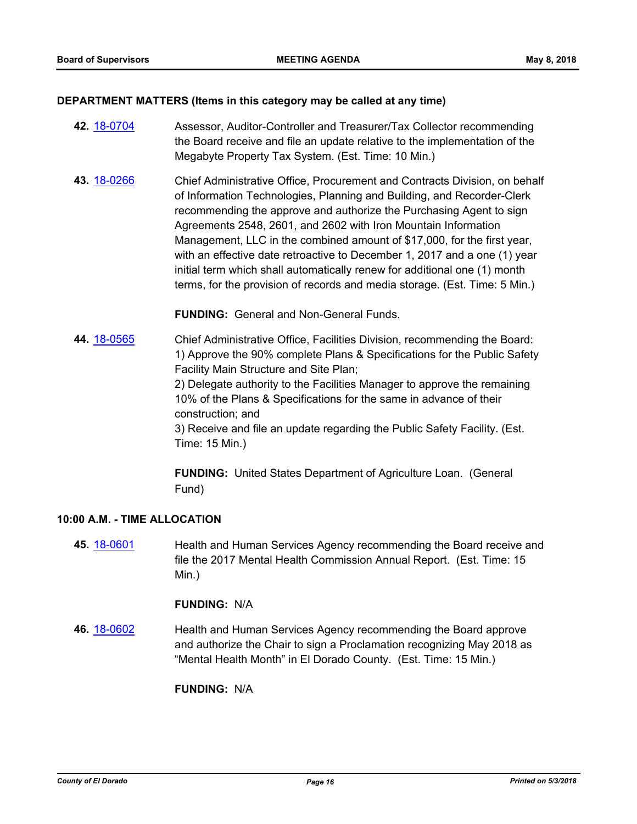#### **DEPARTMENT MATTERS (Items in this category may be called at any time)**

- **42.** [18-0704](http://eldorado.legistar.com/gateway.aspx?m=l&id=/matter.aspx?key=24048) Assessor, Auditor-Controller and Treasurer/Tax Collector recommending the Board receive and file an update relative to the implementation of the Megabyte Property Tax System. (Est. Time: 10 Min.)
- **43.** [18-0266](http://eldorado.legistar.com/gateway.aspx?m=l&id=/matter.aspx?key=23609) Chief Administrative Office, Procurement and Contracts Division, on behalf of Information Technologies, Planning and Building, and Recorder-Clerk recommending the approve and authorize the Purchasing Agent to sign Agreements 2548, 2601, and 2602 with Iron Mountain Information Management, LLC in the combined amount of \$17,000, for the first year, with an effective date retroactive to December 1, 2017 and a one (1) year initial term which shall automatically renew for additional one (1) month terms, for the provision of records and media storage. (Est. Time: 5 Min.)

**FUNDING:** General and Non-General Funds.

**44.** [18-0565](http://eldorado.legistar.com/gateway.aspx?m=l&id=/matter.aspx?key=23910) Chief Administrative Office, Facilities Division, recommending the Board: 1) Approve the 90% complete Plans & Specifications for the Public Safety Facility Main Structure and Site Plan;

> 2) Delegate authority to the Facilities Manager to approve the remaining 10% of the Plans & Specifications for the same in advance of their construction; and

3) Receive and file an update regarding the Public Safety Facility. (Est. Time: 15 Min.)

**FUNDING:** United States Department of Agriculture Loan. (General Fund)

#### **10:00 A.M. - TIME ALLOCATION**

**45.** [18-0601](http://eldorado.legistar.com/gateway.aspx?m=l&id=/matter.aspx?key=23946) Health and Human Services Agency recommending the Board receive and file the 2017 Mental Health Commission Annual Report. (Est. Time: 15 Min.)

#### **FUNDING:** N/A

**46.** [18-0602](http://eldorado.legistar.com/gateway.aspx?m=l&id=/matter.aspx?key=23947) Health and Human Services Agency recommending the Board approve and authorize the Chair to sign a Proclamation recognizing May 2018 as "Mental Health Month" in El Dorado County. (Est. Time: 15 Min.)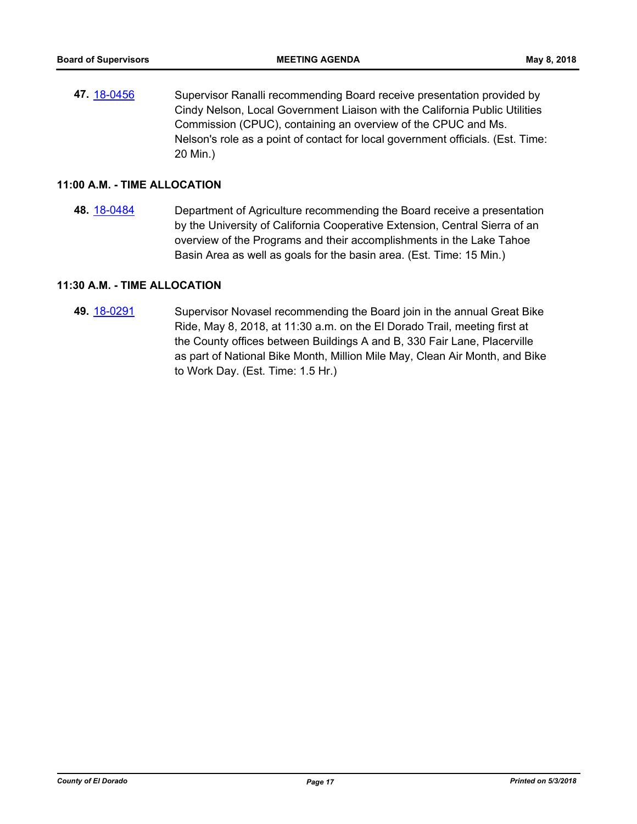**47.** [18-0456](http://eldorado.legistar.com/gateway.aspx?m=l&id=/matter.aspx?key=23801) Supervisor Ranalli recommending Board receive presentation provided by Cindy Nelson, Local Government Liaison with the California Public Utilities Commission (CPUC), containing an overview of the CPUC and Ms. Nelson's role as a point of contact for local government officials. (Est. Time: 20 Min.)

#### **11:00 A.M. - TIME ALLOCATION**

**48.** [18-0484](http://eldorado.legistar.com/gateway.aspx?m=l&id=/matter.aspx?key=23829) Department of Agriculture recommending the Board receive a presentation by the University of California Cooperative Extension, Central Sierra of an overview of the Programs and their accomplishments in the Lake Tahoe Basin Area as well as goals for the basin area. (Est. Time: 15 Min.)

### **11:30 A.M. - TIME ALLOCATION**

**49.** [18-0291](http://eldorado.legistar.com/gateway.aspx?m=l&id=/matter.aspx?key=23634) Supervisor Novasel recommending the Board join in the annual Great Bike Ride, May 8, 2018, at 11:30 a.m. on the El Dorado Trail, meeting first at the County offices between Buildings A and B, 330 Fair Lane, Placerville as part of National Bike Month, Million Mile May, Clean Air Month, and Bike to Work Day. (Est. Time: 1.5 Hr.)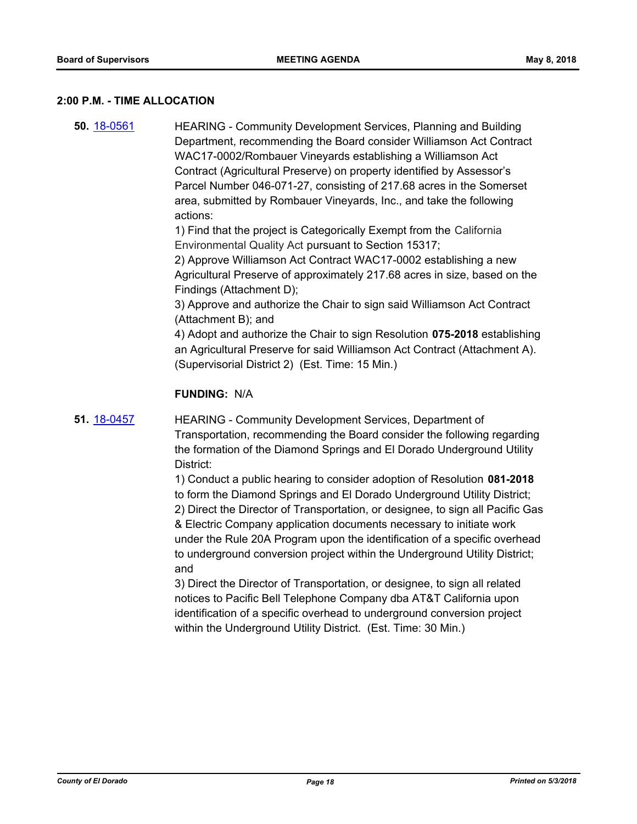#### **2:00 P.M. - TIME ALLOCATION**

**50.** [18-0561](http://eldorado.legistar.com/gateway.aspx?m=l&id=/matter.aspx?key=23906) HEARING - Community Development Services, Planning and Building Department, recommending the Board consider Williamson Act Contract WAC17-0002/Rombauer Vineyards establishing a Williamson Act Contract (Agricultural Preserve) on property identified by Assessor's Parcel Number 046-071-27, consisting of 217.68 acres in the Somerset area, submitted by Rombauer Vineyards, Inc., and take the following actions:

> 1) Find that the project is Categorically Exempt from the California Environmental Quality Act pursuant to Section 15317;

2) Approve Williamson Act Contract WAC17-0002 establishing a new Agricultural Preserve of approximately 217.68 acres in size, based on the Findings (Attachment D);

3) Approve and authorize the Chair to sign said Williamson Act Contract (Attachment B); and

4) Adopt and authorize the Chair to sign Resolution **075-2018** establishing an Agricultural Preserve for said Williamson Act Contract (Attachment A). (Supervisorial District 2) (Est. Time: 15 Min.)

#### **FUNDING:** N/A

**51.** [18-0457](http://eldorado.legistar.com/gateway.aspx?m=l&id=/matter.aspx?key=23802) HEARING - Community Development Services, Department of Transportation, recommending the Board consider the following regarding the formation of the Diamond Springs and El Dorado Underground Utility District:

> 1) Conduct a public hearing to consider adoption of Resolution **081-2018**  to form the Diamond Springs and El Dorado Underground Utility District; 2) Direct the Director of Transportation, or designee, to sign all Pacific Gas & Electric Company application documents necessary to initiate work under the Rule 20A Program upon the identification of a specific overhead to underground conversion project within the Underground Utility District; and

3) Direct the Director of Transportation, or designee, to sign all related notices to Pacific Bell Telephone Company dba AT&T California upon identification of a specific overhead to underground conversion project within the Underground Utility District. (Est. Time: 30 Min.)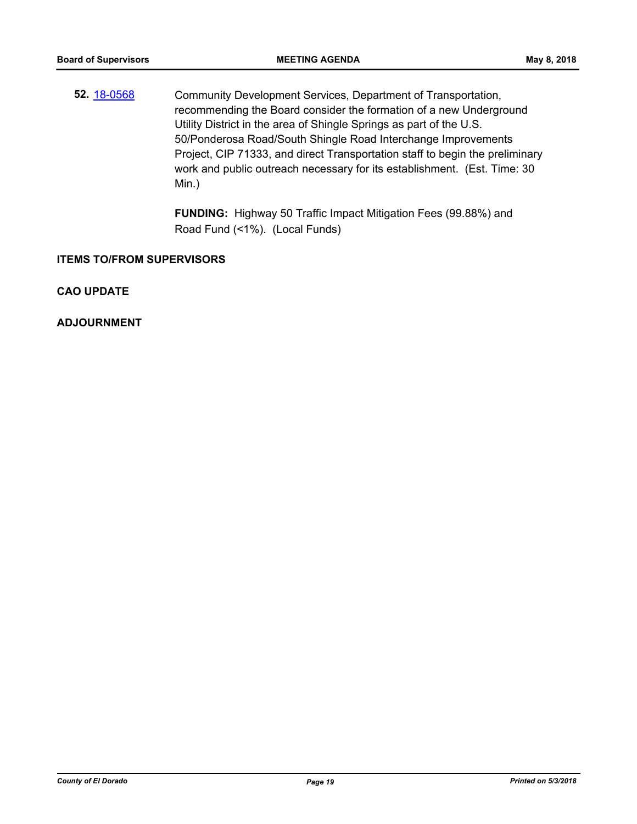**52.** [18-0568](http://eldorado.legistar.com/gateway.aspx?m=l&id=/matter.aspx?key=23913) Community Development Services, Department of Transportation, recommending the Board consider the formation of a new Underground Utility District in the area of Shingle Springs as part of the U.S. 50/Ponderosa Road/South Shingle Road Interchange Improvements Project, CIP 71333, and direct Transportation staff to begin the preliminary work and public outreach necessary for its establishment. (Est. Time: 30 Min.)

> **FUNDING:** Highway 50 Traffic Impact Mitigation Fees (99.88%) and Road Fund (<1%). (Local Funds)

#### **ITEMS TO/FROM SUPERVISORS**

**CAO UPDATE**

**ADJOURNMENT**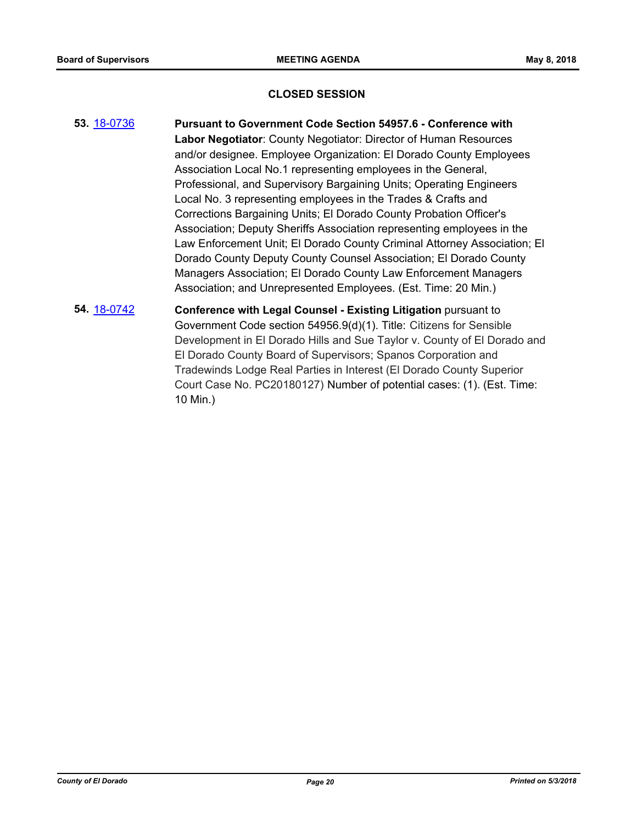#### **CLOSED SESSION**

- **53.** [18-0736](http://eldorado.legistar.com/gateway.aspx?m=l&id=/matter.aspx?key=24083) **Pursuant to Government Code Section 54957.6 Conference with Labor Negotiator**: County Negotiator: Director of Human Resources and/or designee. Employee Organization: El Dorado County Employees Association Local No.1 representing employees in the General, Professional, and Supervisory Bargaining Units; Operating Engineers Local No. 3 representing employees in the Trades & Crafts and Corrections Bargaining Units; El Dorado County Probation Officer's Association; Deputy Sheriffs Association representing employees in the Law Enforcement Unit; El Dorado County Criminal Attorney Association; El Dorado County Deputy County Counsel Association; El Dorado County Managers Association; El Dorado County Law Enforcement Managers Association; and Unrepresented Employees. (Est. Time: 20 Min.) **54.** [18-0742](http://eldorado.legistar.com/gateway.aspx?m=l&id=/matter.aspx?key=24089) **Conference with Legal Counsel - Existing Litigation** pursuant to
	- Government Code section 54956.9(d)(1). Title: Citizens for Sensible Development in El Dorado Hills and Sue Taylor v. County of El Dorado and El Dorado County Board of Supervisors; Spanos Corporation and Tradewinds Lodge Real Parties in Interest (El Dorado County Superior Court Case No. PC20180127) Number of potential cases: (1). (Est. Time: 10 Min.)